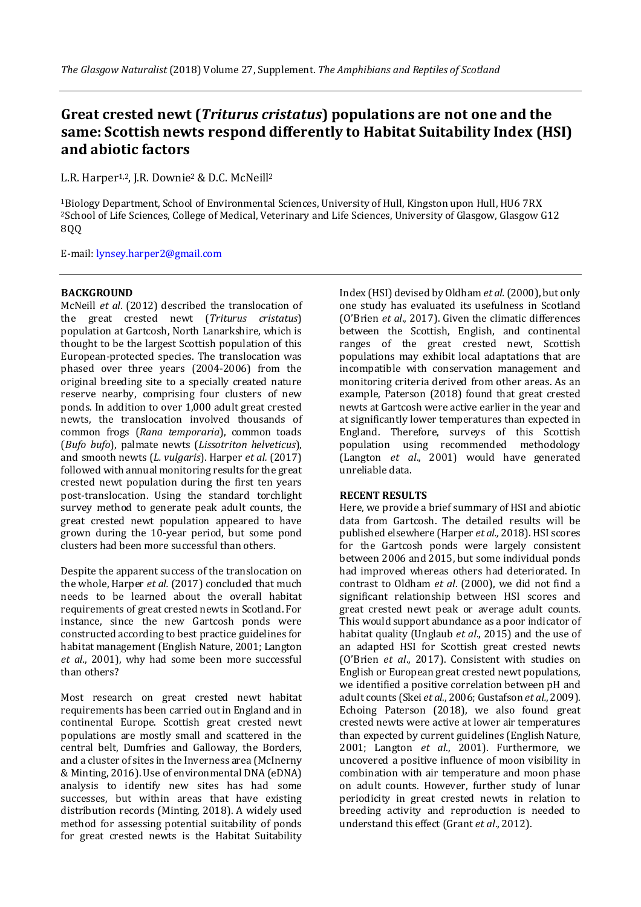# **Great crested newt (***Triturus cristatus***) populations are not one and the same: Scottish newts respond differently to Habitat Suitability Index (HSI) and abiotic factors**

L.R. Harper<sup>1,2</sup>, J.R. Downie<sup>2</sup> & D.C. McNeill<sup>2</sup>

<sup>1</sup>Biology Department, School of Environmental Sciences, University of Hull, Kingston upon Hull, HU6 7RX <sup>2</sup>School of Life Sciences, College of Medical, Veterinary and Life Sciences, University of Glasgow, Glasgow G12 8QQ

E-mail: [lynsey.harper2@gmail.com](mailto:lynsey.harper2@gmail.com)

## **BACKGROUND**

McNeill *et al*. (2012) described the translocation of the great crested newt (*Triturus cristatus*) population at Gartcosh, North Lanarkshire, which is thought to be the largest Scottish population of this European-protected species. The translocation was phased over three years (2004-2006) from the original breeding site to a specially created nature reserve nearby, comprising four clusters of new ponds. In addition to over 1,000 adult great crested newts, the translocation involved thousands of common frogs (*Rana temporaria*), common toads (*Bufo bufo*), palmate newts (*Lissotriton helveticus*), and smooth newts (*L. vulgaris*). Harper *et al.* (2017) followed with annual monitoring results for the great crested newt population during the first ten years post-translocation. Using the standard torchlight survey method to generate peak adult counts, the great crested newt population appeared to have grown during the 10-year period, but some pond clusters had been more successful than others.

Despite the apparent success of the translocation on the whole, Harper *et al.* (2017) concluded that much needs to be learned about the overall habitat requirements of great crested newts in Scotland. For instance, since the new Gartcosh ponds were constructed according to best practice guidelines for habitat management (English Nature, 2001; Langton *et al*., 2001), why had some been more successful than others?

Most research on great crested newt habitat requirements has been carried out in England and in continental Europe. Scottish great crested newt populations are mostly small and scattered in the central belt, Dumfries and Galloway, the Borders, and a cluster of sites in the Inverness area (McInerny & Minting, 2016). Use of environmental DNA (eDNA) analysis to identify new sites has had some successes, but within areas that have existing distribution records (Minting, 2018). A widely used method for assessing potential suitability of ponds for great crested newts is the Habitat Suitability

Index (HSI) devised byOldham *et al.*(2000), but only one study has evaluated its usefulness in Scotland (O'Brien *et al*., 2017). Given the climatic differences between the Scottish, English, and continental ranges of the great crested newt, Scottish populations may exhibit local adaptations that are incompatible with conservation management and monitoring criteria derived from other areas. As an example, Paterson (2018) found that great crested newts at Gartcosh were active earlier in the year and at significantly lower temperatures than expected in England. Therefore, surveys of this Scottish population using recommended methodology (Langton *et al*., 2001) would have generated unreliable data.

### **RECENT RESULTS**

Here, we provide a brief summary of HSI and abiotic data from Gartcosh. The detailed results will be published elsewhere (Harper *et al.,* 2018). HSI scores for the Gartcosh ponds were largely consistent between 2006 and 2015, but some individual ponds had improved whereas others had deteriorated. In contrast to Oldham *et al*. (2000), we did not find a significant relationship between HSI scores and great crested newt peak or average adult counts. This would support abundance as a poor indicator of habitat quality (Unglaub *et al*., 2015) and the use of an adapted HSI for Scottish great crested newts (O'Brien *et al*., 2017). Consistent with studies on English or European great crested newt populations, we identified a positive correlation between pH and adult counts (Skei *et al.*, 2006; Gustafson *et al.*,2009). Echoing Paterson (2018), we also found great crested newts were active at lower air temperatures than expected by current guidelines (English Nature, 2001; Langton *et al*., 2001). Furthermore, we uncovered a positive influence of moon visibility in combination with air temperature and moon phase on adult counts. However, further study of lunar periodicity in great crested newts in relation to breeding activity and reproduction is needed to understand this effect (Grant *et al*., 2012).